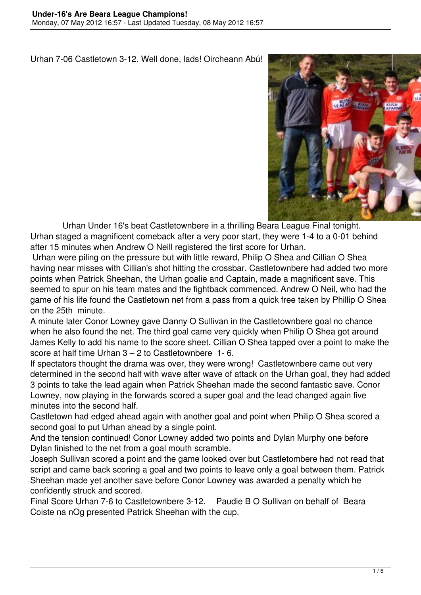Urhan 7-06 Castletown 3-12. Well done, lads! Oircheann Abú!



 Urhan Under 16's beat Castletownbere in a thrilling Beara League Final tonight. Urhan staged a magnificent comeback after a very poor start, they were 1-4 to a 0-01 behind after 15 minutes when Andrew O Neill registered the first score for Urhan.

 Urhan were piling on the pressure but with little reward, Philip O Shea and Cillian O Shea having near misses with Cillian's shot hitting the crossbar. Castletownbere had added two more points when Patrick Sheehan, the Urhan goalie and Captain, made a magnificent save. This seemed to spur on his team mates and the fightback commenced. Andrew O Neil, who had the game of his life found the Castletown net from a pass from a quick free taken by Phillip O Shea on the 25th minute.

A minute later Conor Lowney gave Danny O Sullivan in the Castletownbere goal no chance when he also found the net. The third goal came very quickly when Philip O Shea got around James Kelly to add his name to the score sheet. Cillian O Shea tapped over a point to make the score at half time Urhan 3 – 2 to Castletownbere 1- 6.

If spectators thought the drama was over, they were wrong! Castletownbere came out very determined in the second half with wave after wave of attack on the Urhan goal, they had added 3 points to take the lead again when Patrick Sheehan made the second fantastic save. Conor Lowney, now playing in the forwards scored a super goal and the lead changed again five minutes into the second half.

Castletown had edged ahead again with another goal and point when Philip O Shea scored a second goal to put Urhan ahead by a single point.

And the tension continued! Conor Lowney added two points and Dylan Murphy one before Dylan finished to the net from a goal mouth scramble.

Joseph Sullivan scored a point and the game looked over but Castletombere had not read that script and came back scoring a goal and two points to leave only a goal between them. Patrick Sheehan made yet another save before Conor Lowney was awarded a penalty which he confidently struck and scored.

Final Score Urhan 7-6 to Castletownbere 3-12. Paudie B O Sullivan on behalf of Beara Coiste na nOg presented Patrick Sheehan with the cup.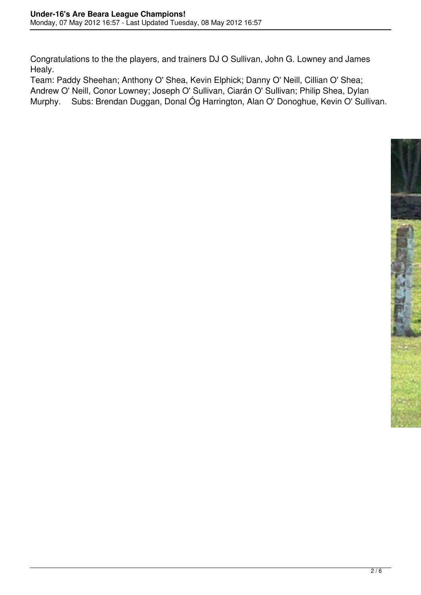Congratulations to the the players, and trainers DJ O Sullivan, John G. Lowney and James Healy.

Team: Paddy Sheehan; Anthony O' Shea, Kevin Elphick; Danny O' Neill, Cillian O' Shea; Andrew O' Neill, Conor Lowney; Joseph O' Sullivan, Ciarán O' Sullivan; Philip Shea, Dylan Murphy. Subs: Brendan Duggan, Donal Óg Harrington, Alan O' Donoghue, Kevin O' Sullivan.

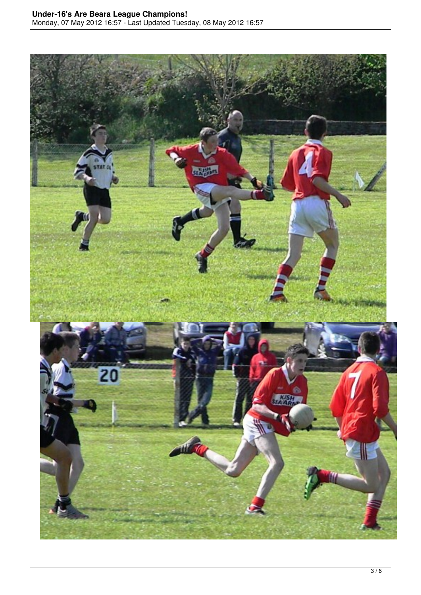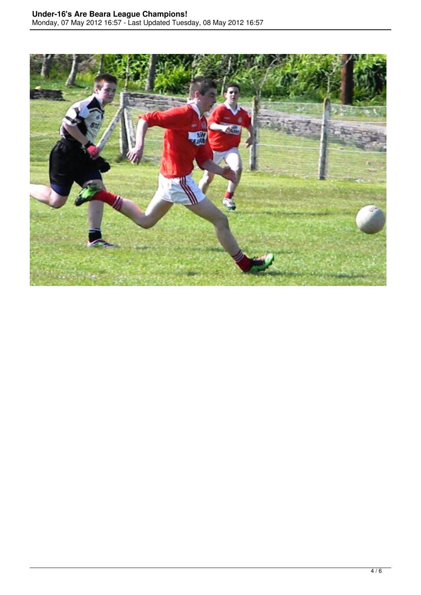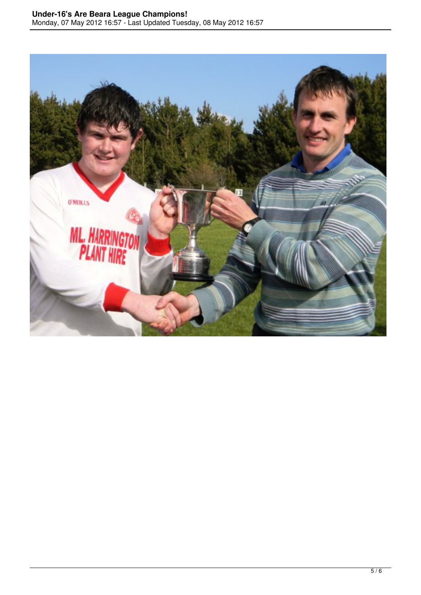